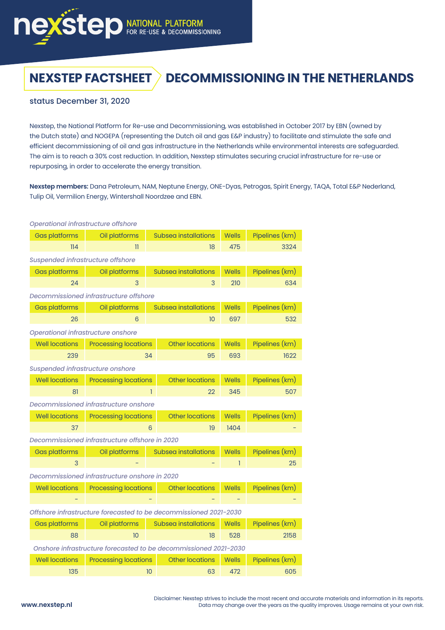

# **NEXSTEP FACTSHEET > DECOMMISSIONING IN THE NETHERLANDS**

## status December 31, 2020

Nexstep, the National Platform for Re-use and Decommissioning, was established in October 2017 by EBN (owned by the Dutch state) and NOGEPA (representing the Dutch oil and gas E&P industry) to facilitate and stimulate the safe and efficient decommissioning of oil and gas infrastructure in the Netherlands while environmental interests are safeguarded. The aim is to reach a 30% cost reduction. In addition, Nexstep stimulates securing crucial infrastructure for re-use or repurposing, in order to accelerate the energy transition.

**Nexstep members:** Dana Petroleum, NAM, Neptune Energy, ONE-Dyas, Petrogas, Spirit Energy, TAQA, Total E&P Nederland, Tulip Oil, Vermilion Energy, Wintershall Noordzee and EBN.

| Operational infrastructure offshore                               |                             |    |                             |              |                |  |  |
|-------------------------------------------------------------------|-----------------------------|----|-----------------------------|--------------|----------------|--|--|
| <b>Gas platforms</b>                                              | Oil platforms               |    | Subsea installations        | <b>Wells</b> | Pipelines (km) |  |  |
| 114                                                               | $\overline{\mathbf{u}}$     |    | 18                          | 475          | 3324           |  |  |
| Suspended infrastructure offshore                                 |                             |    |                             |              |                |  |  |
| <b>Gas platforms</b>                                              | Oil platforms               |    | <b>Subsea installations</b> | <b>Wells</b> | Pipelines (km) |  |  |
| 24                                                                | 3                           |    | 3                           | 210          | 634            |  |  |
| Decommissioned infrastructure offshore                            |                             |    |                             |              |                |  |  |
| <b>Gas platforms</b>                                              | Oil platforms               |    | <b>Subsea installations</b> | <b>Wells</b> | Pipelines (km) |  |  |
| 26                                                                | 6                           |    | 10                          | 697          | 532            |  |  |
| Operational infrastructure onshore                                |                             |    |                             |              |                |  |  |
| <b>Well locations</b>                                             | <b>Processing locations</b> |    | <b>Other locations</b>      | Wells        | Pipelines (km) |  |  |
| 239                                                               |                             | 34 | 95                          | 693          | 1622           |  |  |
| Suspended infrastructure onshore                                  |                             |    |                             |              |                |  |  |
| <b>Well locations</b>                                             | <b>Processing locations</b> |    | <b>Other locations</b>      | <b>Wells</b> | Pipelines (km) |  |  |
| 81                                                                |                             | 1  | 22                          | 345          | 507            |  |  |
| Decommissioned infrastructure onshore                             |                             |    |                             |              |                |  |  |
| <b>Well locations</b>                                             | <b>Processing locations</b> |    | <b>Other locations</b>      | <b>Wells</b> | Pipelines (km) |  |  |
| 37                                                                |                             | 6  | 19                          | 1404         |                |  |  |
| Decommissioned infrastructure offshore in 2020                    |                             |    |                             |              |                |  |  |
| <b>Gas platforms</b>                                              | Oil platforms               |    | <b>Subsea installations</b> | <b>Wells</b> | Pipelines (km) |  |  |
| 3                                                                 |                             |    |                             | T            | 25             |  |  |
| Decommissioned infrastructure onshore in 2020                     |                             |    |                             |              |                |  |  |
| <b>Well locations</b>                                             | <b>Processing locations</b> |    | <b>Other locations</b>      | <b>Wells</b> | Pipelines (km) |  |  |
|                                                                   |                             |    |                             |              |                |  |  |
| Offshore infrastructure forecasted to be decommissioned 2021-2030 |                             |    |                             |              |                |  |  |
| <b>Gas platforms</b>                                              | Oil platforms               |    | Subsea installations        | <b>Wells</b> | Pipelines (km) |  |  |
| 88                                                                | 10                          |    | 18                          | 528          | 2158           |  |  |
| Onshore infrastructure forecasted to be decommissioned 2021-2030  |                             |    |                             |              |                |  |  |
| <b>Well locations</b>                                             | <b>Processing locations</b> |    | <b>Other locations</b>      | <b>Wells</b> | Pipelines (km) |  |  |
| 135                                                               |                             | 10 | 63                          | 472          | 605            |  |  |